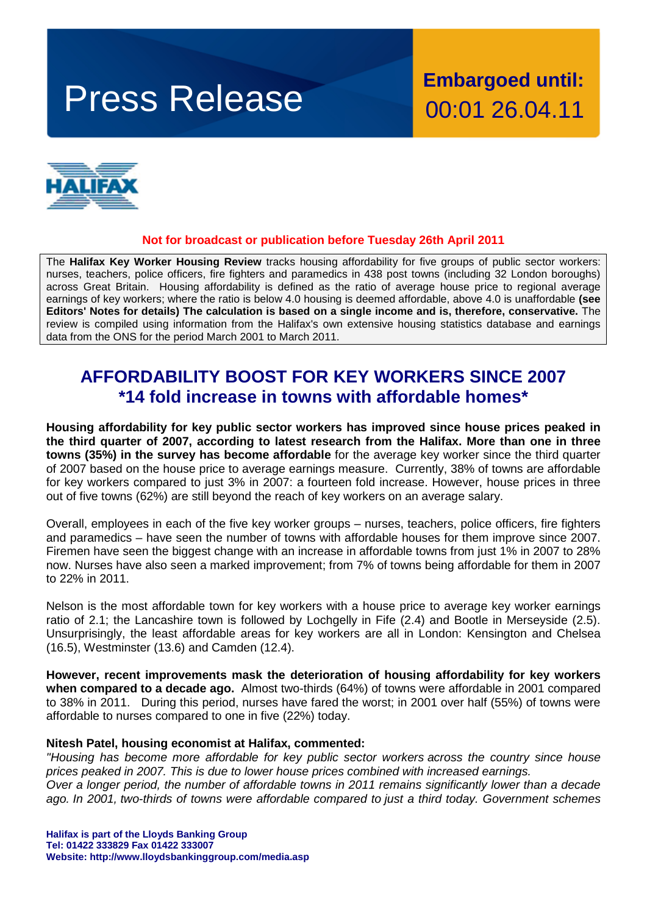# Press Release **Embargoed until:**

00:01 26.04.11



#### **Not for broadcast or publication before Tuesday 26th April 2011**

The **Halifax Key Worker Housing Review** tracks housing affordability for five groups of public sector workers: nurses, teachers, police officers, fire fighters and paramedics in 438 post towns (including 32 London boroughs) across Great Britain. Housing affordability is defined as the ratio of average house price to regional average earnings of key workers; where the ratio is below 4.0 housing is deemed affordable, above 4.0 is unaffordable **(see Editors' Notes for details) The calculation is based on a single income and is, therefore, conservative.** The review is compiled using information from the Halifax's own extensive housing statistics database and earnings data from the ONS for the period March 2001 to March 2011.

# **AFFORDABILITY BOOST FOR KEY WORKERS SINCE 2007 \*14 fold increase in towns with affordable homes\***

**Housing affordability for key public sector workers has improved since house prices peaked in the third quarter of 2007, according to latest research from the Halifax. More than one in three towns (35%) in the survey has become affordable** for the average key worker since the third quarter of 2007 based on the house price to average earnings measure. Currently, 38% of towns are affordable for key workers compared to just 3% in 2007: a fourteen fold increase. However, house prices in three out of five towns (62%) are still beyond the reach of key workers on an average salary.

Overall, employees in each of the five key worker groups – nurses, teachers, police officers, fire fighters and paramedics – have seen the number of towns with affordable houses for them improve since 2007. Firemen have seen the biggest change with an increase in affordable towns from just 1% in 2007 to 28% now. Nurses have also seen a marked improvement; from 7% of towns being affordable for them in 2007 to 22% in 2011.

Nelson is the most affordable town for key workers with a house price to average key worker earnings ratio of 2.1; the Lancashire town is followed by Lochgelly in Fife (2.4) and Bootle in Merseyside (2.5). Unsurprisingly, the least affordable areas for key workers are all in London: Kensington and Chelsea (16.5), Westminster (13.6) and Camden (12.4).

**However, recent improvements mask the deterioration of housing affordability for key workers when compared to a decade ago.** Almost two-thirds (64%) of towns were affordable in 2001 compared to 38% in 2011. During this period, nurses have fared the worst; in 2001 over half (55%) of towns were affordable to nurses compared to one in five (22%) today.

#### **Nitesh Patel, housing economist at Halifax, commented:**

*"Housing has become more affordable for key public sector workers across the country since house prices peaked in 2007. This is due to lower house prices combined with increased earnings. Over a longer period, the number of affordable towns in 2011 remains significantly lower than a decade ago. In 2001, two-thirds of towns were affordable compared to just a third today. Government schemes* 

**Halifax is part of the Lloyds Banking Group Tel: 01422 333829 Fax 01422 333007 Website: http://www.lloydsbankinggroup.com/media.asp**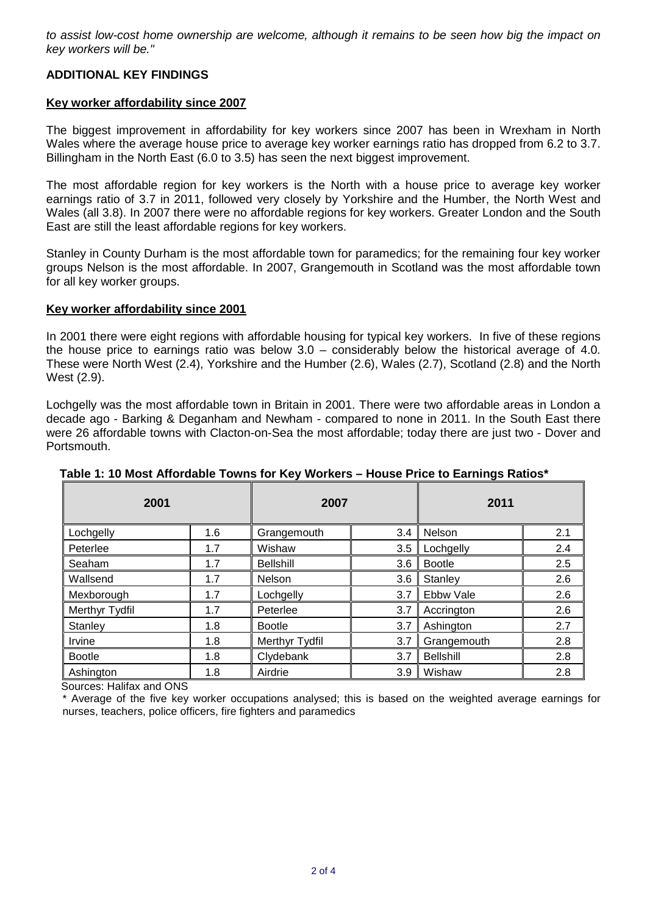*to assist low-cost home ownership are welcome, although it remains to be seen how big the impact on key workers will be."*

# **ADDITIONAL KEY FINDINGS**

#### **Key worker affordability since 2007**

The biggest improvement in affordability for key workers since 2007 has been in Wrexham in North Wales where the average house price to average key worker earnings ratio has dropped from 6.2 to 3.7. Billingham in the North East (6.0 to 3.5) has seen the next biggest improvement.

The most affordable region for key workers is the North with a house price to average key worker earnings ratio of 3.7 in 2011, followed very closely by Yorkshire and the Humber, the North West and Wales (all 3.8). In 2007 there were no affordable regions for key workers. Greater London and the South East are still the least affordable regions for key workers.

Stanley in County Durham is the most affordable town for paramedics; for the remaining four key worker groups Nelson is the most affordable. In 2007, Grangemouth in Scotland was the most affordable town for all key worker groups.

#### **Key worker affordability since 2001**

In 2001 there were eight regions with affordable housing for typical key workers. In five of these regions the house price to earnings ratio was below 3.0 – considerably below the historical average of 4.0. These were North West (2.4), Yorkshire and the Humber (2.6), Wales (2.7), Scotland (2.8) and the North West (2.9).

Lochgelly was the most affordable town in Britain in 2001. There were two affordable areas in London a decade ago - Barking & Deganham and Newham - compared to none in 2011. In the South East there were 26 affordable towns with Clacton-on-Sea the most affordable; today there are just two - Dover and Portsmouth.

| 2001           |     | 2007             |     | 2011             |     |
|----------------|-----|------------------|-----|------------------|-----|
| Lochgelly      | 1.6 | Grangemouth      | 3.4 | Nelson           | 2.1 |
| Peterlee       | 1.7 | Wishaw           | 3.5 | Lochgelly        | 2.4 |
| Seaham         | 1.7 | <b>Bellshill</b> | 3.6 | <b>Bootle</b>    | 2.5 |
| Wallsend       | 1.7 | Nelson           | 3.6 | Stanley          | 2.6 |
| Mexborough     | 1.7 | Lochgelly        | 3.7 | Ebbw Vale        | 2.6 |
| Merthyr Tydfil | 1.7 | Peterlee         | 3.7 | Accrington       | 2.6 |
| Stanley        | 1.8 | <b>Bootle</b>    | 3.7 | Ashington        | 2.7 |
| Irvine         | 1.8 | Merthyr Tydfil   | 3.7 | Grangemouth      | 2.8 |
| <b>Bootle</b>  | 1.8 | Clydebank        | 3.7 | <b>Bellshill</b> | 2.8 |
| Ashington      | 1.8 | Airdrie          | 3.9 | Wishaw           | 2.8 |

# **Table 1: 10 Most Affordable Towns for Key Workers – House Price to Earnings Ratios\***

Sources: Halifax and ONS

\* Average of the five key worker occupations analysed; this is based on the weighted average earnings for nurses, teachers, police officers, fire fighters and paramedics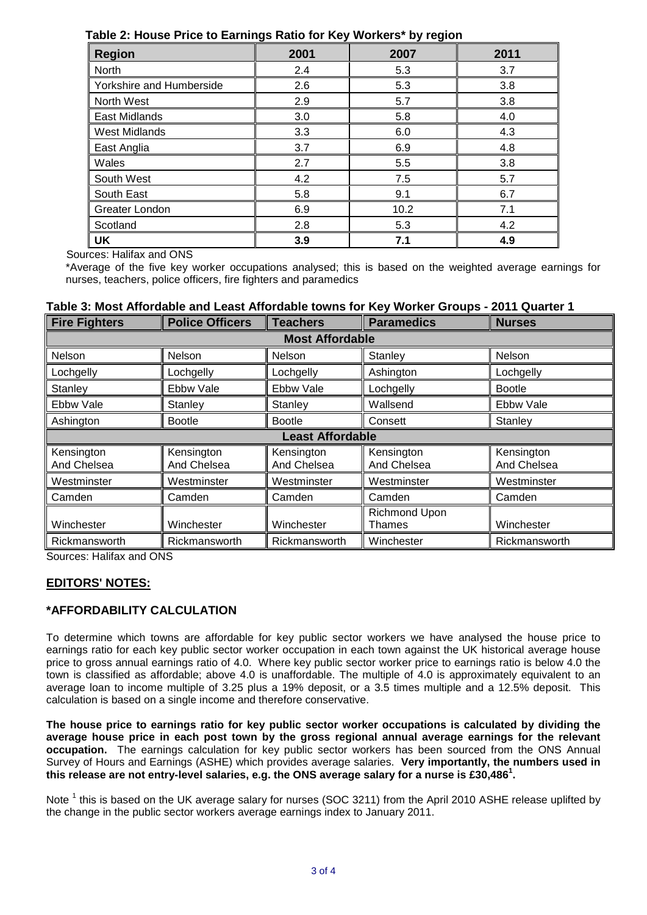| <b>Region</b>            | 2001 | 2007 | 2011 |  |
|--------------------------|------|------|------|--|
| North                    | 2.4  | 5.3  | 3.7  |  |
| Yorkshire and Humberside | 2.6  | 5.3  | 3.8  |  |
| North West               | 2.9  | 5.7  | 3.8  |  |
| East Midlands            | 3.0  | 5.8  | 4.0  |  |
| <b>West Midlands</b>     | 3.3  | 6.0  | 4.3  |  |
| East Anglia              | 3.7  | 6.9  | 4.8  |  |
| Wales                    | 2.7  | 5.5  | 3.8  |  |
| South West               | 4.2  | 7.5  | 5.7  |  |
| South East               | 5.8  | 9.1  | 6.7  |  |
| Greater London           | 6.9  | 10.2 | 7.1  |  |
| Scotland                 | 2.8  | 5.3  | 4.2  |  |
| UK                       | 3.9  | 7.1  | 4.9  |  |

**Table 2: House Price to Earnings Ratio for Key Workers\* by region**

Sources: Halifax and ONS

\*Average of the five key worker occupations analysed; this is based on the weighted average earnings for nurses, teachers, police officers, fire fighters and paramedics

# **Table 3: Most Affordable and Least Affordable towns for Key Worker Groups - 2011 Quarter 1**

| <b>Fire Fighters</b>      | <b>Police Officers</b>    | <b>Teachers</b>           | <b>Paramedics</b>         | <b>Nurses</b>             |  |  |
|---------------------------|---------------------------|---------------------------|---------------------------|---------------------------|--|--|
| <b>Most Affordable</b>    |                           |                           |                           |                           |  |  |
| Nelson                    | Nelson                    | <b>Nelson</b>             | Stanley                   | Nelson                    |  |  |
| Lochgelly                 | Lochgelly                 | Lochgelly                 | Ashington                 | Lochgelly                 |  |  |
| Stanley                   | Ebbw Vale                 | Ebbw Vale                 | Lochgelly                 | <b>Bootle</b>             |  |  |
| Ebbw Vale                 | Stanley                   | Stanley                   | Wallsend                  | Ebbw Vale                 |  |  |
| Ashington                 | <b>Bootle</b>             | <b>Bootle</b>             | Consett                   | Stanley                   |  |  |
| <b>Least Affordable</b>   |                           |                           |                           |                           |  |  |
| Kensington<br>And Chelsea | Kensington<br>And Chelsea | Kensington<br>And Chelsea | Kensington<br>And Chelsea | Kensington<br>And Chelsea |  |  |
| Westminster               | Westminster               | Westminster               | Westminster               | Westminster               |  |  |
| Camden                    | Camden                    | Camden                    | Camden                    | Camden                    |  |  |
| Winchester                | Winchester                | Winchester                | Richmond Upon<br>Thames   | Winchester                |  |  |
| Rickmansworth<br>$\sim$   | Rickmansworth             | Rickmansworth             | Winchester                | Rickmansworth             |  |  |

Sources: Halifax and ONS

# **EDITORS' NOTES:**

# **\*AFFORDABILITY CALCULATION**

To determine which towns are affordable for key public sector workers we have analysed the house price to earnings ratio for each key public sector worker occupation in each town against the UK historical average house price to gross annual earnings ratio of 4.0. Where key public sector worker price to earnings ratio is below 4.0 the town is classified as affordable; above 4.0 is unaffordable. The multiple of 4.0 is approximately equivalent to an average loan to income multiple of 3.25 plus a 19% deposit, or a 3.5 times multiple and a 12.5% deposit. This calculation is based on a single income and therefore conservative.

**The house price to earnings ratio for key public sector worker occupations is calculated by dividing the average house price in each post town by the gross regional annual average earnings for the relevant occupation.** The earnings calculation for key public sector workers has been sourced from the ONS Annual Survey of Hours and Earnings (ASHE) which provides average salaries. **Very importantly, the numbers used in this release are not entry-level salaries, e.g. the ONS average salary for a nurse is £30,486<sup>1</sup> .**

Note<sup>1</sup> this is based on the UK average salary for nurses (SOC 3211) from the April 2010 ASHE release uplifted by the change in the public sector workers average earnings index to January 2011.